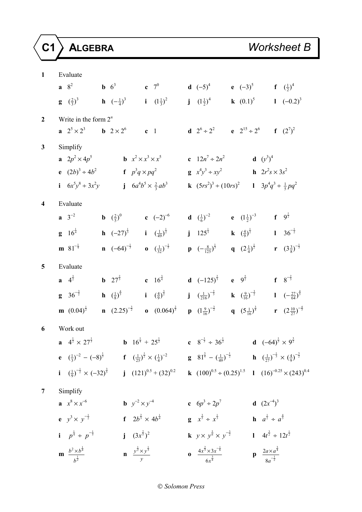| $\mathbf{1}$            | Evaluate                                                                                                                                                                                                                                                      |                                                                                                                                                                                            |
|-------------------------|---------------------------------------------------------------------------------------------------------------------------------------------------------------------------------------------------------------------------------------------------------------|--------------------------------------------------------------------------------------------------------------------------------------------------------------------------------------------|
|                         | <b>a</b> $8^2$ <b>b</b> $6^3$ <b>c</b> $7^0$                                                                                                                                                                                                                  | <b>d</b> $(-5)^4$ <b>e</b> $(-3)^5$ <b>f</b> $(\frac{1}{2})^4$                                                                                                                             |
|                         | <b>g</b> $(\frac{2}{3})^3$ <b>h</b> $(-\frac{1}{4})^3$ <b>i</b> $(1\frac{1}{3})^2$                                                                                                                                                                            | <b>j</b> $(1\frac{1}{2})^4$ <b>k</b> $(0.1)^5$ <b>l</b> $(-0.2)^3$                                                                                                                         |
| $\overline{2}$          | Write in the form $2^n$                                                                                                                                                                                                                                       |                                                                                                                                                                                            |
|                         | <b>a</b> $2^5 \times 2^3$ <b>b</b> $2 \times 2^6$ <b>c</b> 1                                                                                                                                                                                                  | <b>d</b> $2^6 \div 2^2$ <b>e</b> $2^{15} \div 2^6$ <b>f</b> $(2^7)^2$                                                                                                                      |
| $\mathbf{3}$            | Simplify                                                                                                                                                                                                                                                      |                                                                                                                                                                                            |
|                         | <b>a</b> $2p^2 \times 4p^5$ <b>b</b> $x^2 \times x^3 \times x^5$ <b>c</b> $12n^7 \div 2n^2$ <b>d</b> $(y^3)^4$                                                                                                                                                |                                                                                                                                                                                            |
|                         | <b>e</b> $(2b)^3 \div 4b^2$ <b>f</b> $p^3q \times pq^2$ <b>g</b> $x^4y^3 \div xy^2$ <b>h</b> $2r^2s \times 3s^2$                                                                                                                                              |                                                                                                                                                                                            |
|                         | i $6x^5y^8 \div 3x^2y$ j $6a^4b^5 \times \frac{2}{3}ab^3$                                                                                                                                                                                                     | <b>k</b> $(5rs^2)^3 \div (10rs)^2$ <b>l</b> $3p^4q^3 \div \frac{1}{5}pq^2$                                                                                                                 |
| $\overline{\mathbf{4}}$ | Evaluate                                                                                                                                                                                                                                                      |                                                                                                                                                                                            |
|                         | $a \t 3^{-2}$<br><b>b</b> $(\frac{2}{5})^0$ <b>c</b> $(-2)^{-6}$                                                                                                                                                                                              | <b>d</b> $(\frac{1}{6})^{-2}$ <b>e</b> $(1\frac{1}{2})^{-3}$ <b>f</b> $9^{\frac{1}{2}}$                                                                                                    |
|                         | <b>h</b> $(-27)^{\frac{1}{3}}$ <b>i</b> $(\frac{1}{49})^{\frac{1}{2}}$<br>$g \t16^{\frac{1}{4}}$                                                                                                                                                              | <b>j</b> $125^{\frac{1}{3}}$ <b>k</b> $(\frac{4}{9})^{\frac{1}{2}}$ <b>l</b> $36^{-\frac{1}{2}}$                                                                                           |
|                         | <b>m</b> 81 <sup>-<math>\frac{1}{4}</math> <b>n</b> <math>(-64)^{-\frac{1}{3}}</math> <b>o</b> <math>(\frac{1}{32})^{-\frac{1}{5}}</math></sup>                                                                                                               | <b>p</b> $\left(-\frac{8}{125}\right)^{\frac{1}{3}}$ <b>q</b> $\left(2\frac{1}{4}\right)^{\frac{1}{2}}$ <b>r</b> $\left(3\frac{3}{8}\right)^{-\frac{1}{3}}$                                |
| $\overline{5}$          | Evaluate                                                                                                                                                                                                                                                      |                                                                                                                                                                                            |
|                         | <b>b</b> $27^{\frac{2}{3}}$ <b>c</b> $16^{\frac{3}{4}}$<br><b>a</b> $4^{\frac{3}{2}}$                                                                                                                                                                         | <b>d</b> $(-125)^{\frac{2}{3}}$ <b>e</b> $9^{\frac{5}{2}}$ <b>f</b> $8^{-\frac{2}{3}}$                                                                                                     |
|                         | <b>g</b> $36^{-\frac{3}{2}}$ <b>h</b> $(\frac{1}{8})^{\frac{4}{3}}$ <b>i</b> $(\frac{4}{9})^{\frac{3}{2}}$                                                                                                                                                    | <b>j</b> $\left(\frac{1}{216}\right)^{-\frac{2}{3}}$ <b>k</b> $\left(\frac{9}{16}\right)^{-\frac{3}{2}}$ <b>l</b> $\left(-\frac{27}{64}\right)^{\frac{4}{3}}$                              |
|                         | <b>n</b> $(2.25)^{-\frac{3}{2}}$ <b>o</b> $(0.064)^{\frac{2}{3}}$<br><b>m</b> $(0.04)^{\frac{1}{2}}$                                                                                                                                                          | <b>p</b> $(1\frac{9}{16})^{-\frac{3}{2}}$ <b>q</b> $(5\frac{1}{16})^{\frac{3}{4}}$ <b>r</b> $(2\frac{10}{27})^{-\frac{4}{3}}$                                                              |
| 6                       | Work out                                                                                                                                                                                                                                                      |                                                                                                                                                                                            |
|                         | <b>a</b> $4^{\frac{1}{2}} \times 27^{\frac{1}{3}}$                                                                                                                                                                                                            | <b>b</b> $16^{\frac{1}{4}} + 25^{\frac{1}{2}}$ <b>c</b> $8^{-\frac{1}{3}} \div 36^{\frac{1}{2}}$ <b>d</b> $(-64)^{\frac{1}{3}} \times 9^{\frac{3}{2}}$                                     |
|                         | <b>e</b> $(\frac{1}{3})^{-2} - (-8)^{\frac{1}{3}}$ <b>f</b> $(\frac{1}{25})^{\frac{1}{2}} \times (\frac{1}{4})^{-2}$ <b>g</b> $81^{\frac{3}{4}} - (\frac{1}{49})^{-\frac{1}{2}}$ <b>h</b> $(\frac{1}{27})^{-\frac{1}{3}} \times (\frac{4}{9})^{-\frac{3}{2}}$ |                                                                                                                                                                                            |
|                         |                                                                                                                                                                                                                                                               | <b>i</b> $(\frac{1}{9})^{-\frac{1}{2}} \times (-32)^{\frac{3}{5}}$ <b>j</b> $(121)^{0.5} + (32)^{0.2}$ <b>k</b> $(100)^{0.5} \div (0.25)^{1.5}$ <b>l</b> $(16)^{-0.25} \times (243)^{0.4}$ |
| 7                       | Simplify                                                                                                                                                                                                                                                      |                                                                                                                                                                                            |
|                         | $x^8 \times x^{-6}$<br><b>b</b> $y^{-2} \times y^{-4}$                                                                                                                                                                                                        | <b>d</b> $(2x^{-4})^3$<br>c $6p^3 \div 2p^7$                                                                                                                                               |
|                         | <b>f</b> $2b^{\frac{2}{3}} \times 4b^{\frac{1}{4}}$<br><b>e</b> $y^3 \times y^{-\frac{1}{2}}$                                                                                                                                                                 | <b>h</b> $a^{\frac{1}{2}} \div a^{\frac{4}{3}}$<br><b>g</b> $x^{\frac{3}{5}} \div x^{\frac{1}{3}}$                                                                                         |
|                         | i $p^{\frac{1}{4}} \div p^{-\frac{1}{5}}$<br>j $(3x^{\frac{2}{5}})^2$                                                                                                                                                                                         | <b>k</b> $y \times y^{\frac{5}{6}} \times y^{-\frac{3}{2}}$ <b>l</b> $4t^{\frac{3}{2}} \div 12t^{\frac{1}{2}}$                                                                             |
|                         | <b>m</b> $\frac{b^2 \times b^{\frac{1}{4}}}{b^{\frac{1}{2}}}$<br><b>n</b> $\frac{y^{\frac{1}{2}} \times y^{\frac{1}{3}}}{y}$                                                                                                                                  | <b>0</b> $\frac{4x^{\frac{2}{3}} \times 3x^{-\frac{1}{6}}}{6x^{\frac{3}{4}}}$<br><b>p</b> $\frac{2a \times a^{\frac{3}{4}}}{8a^{-\frac{1}{2}}}$                                            |